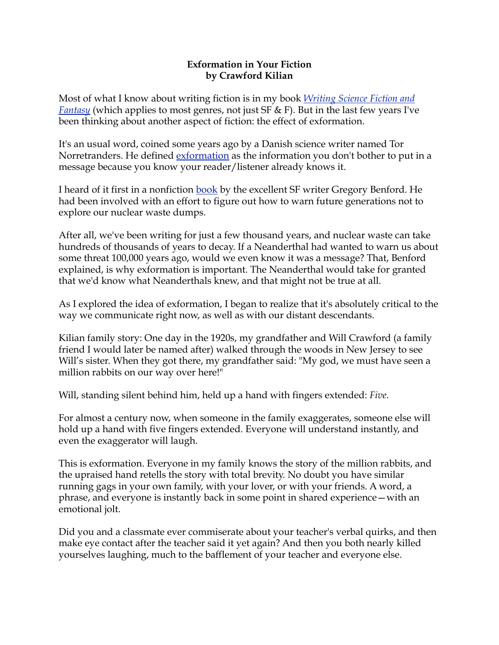### **Exformation in Your Fiction by Crawford Kilian**

Most of what I know about writing fiction is in my book *[Writing Science Fiction and](http://www.self-counsel.com/default/writing-science-fiction-and-fantasy.html)  [Fantasy](http://www.self-counsel.com/default/writing-science-fiction-and-fantasy.html)* (which applies to most genres, not just SF & F). But in the last few years I've been thinking about another aspect of fiction: the effect of exformation.

It's an usual word, coined some years ago by a Danish science writer named Tor Norretranders. He defined <u>exformation</u> as the information you don't bother to put in a message because you know your reader/listener already knows it.

I heard of it first in a nonfiction [book](http://www.amazon.com/Deep-Time-Humanity-Communicates-Millennia/dp/0380793466) by the excellent SF writer Gregory Benford. He had been involved with an effort to figure out how to warn future generations not to explore our nuclear waste dumps.

After all, we've been writing for just a few thousand years, and nuclear waste can take hundreds of thousands of years to decay. If a Neanderthal had wanted to warn us about some threat 100,000 years ago, would we even know it was a message? That, Benford explained, is why exformation is important. The Neanderthal would take for granted that we'd know what Neanderthals knew, and that might not be true at all.

As I explored the idea of exformation, I began to realize that it's absolutely critical to the way we communicate right now, as well as with our distant descendants.

Kilian family story: One day in the 1920s, my grandfather and Will Crawford (a family friend I would later be named after) walked through the woods in New Jersey to see Will's sister. When they got there, my grandfather said: "My god, we must have seen a million rabbits on our way over here!"

Will, standing silent behind him, held up a hand with fingers extended: *Five*.

For almost a century now, when someone in the family exaggerates, someone else will hold up a hand with five fingers extended. Everyone will understand instantly, and even the exaggerator will laugh.

This is exformation. Everyone in my family knows the story of the million rabbits, and the upraised hand retells the story with total brevity. No doubt you have similar running gags in your own family, with your lover, or with your friends. A word, a phrase, and everyone is instantly back in some point in shared experience—with an emotional jolt.

Did you and a classmate ever commiserate about your teacher's verbal quirks, and then make eye contact after the teacher said it yet again? And then you both nearly killed yourselves laughing, much to the bafflement of your teacher and everyone else.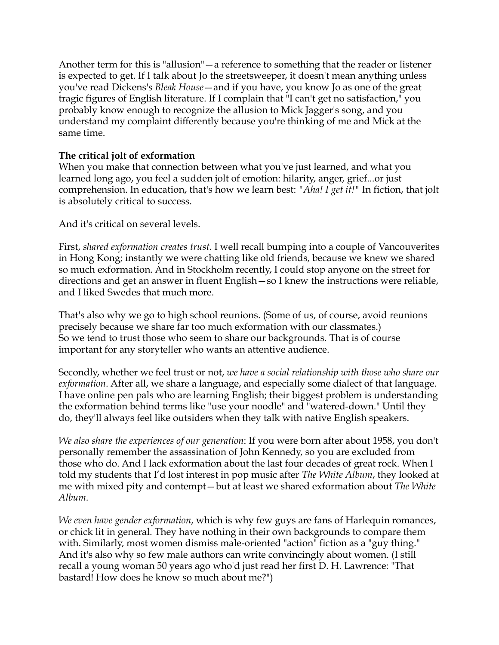Another term for this is "allusion"—a reference to something that the reader or listener is expected to get. If I talk about Jo the streetsweeper, it doesn't mean anything unless you've read Dickens's *Bleak House*—and if you have, you know Jo as one of the great tragic figures of English literature. If I complain that "I can't get no satisfaction," you probably know enough to recognize the allusion to Mick Jagger's song, and you understand my complaint differently because you're thinking of me and Mick at the same time.

# **The critical jolt of exformation**

When you make that connection between what you've just learned, and what you learned long ago, you feel a sudden jolt of emotion: hilarity, anger, grief...or just comprehension. In education, that's how we learn best: *"Aha! I get it!"* In fiction, that jolt is absolutely critical to success.

And it's critical on several levels.

First, *shared exformation creates trust*. I well recall bumping into a couple of Vancouverites in Hong Kong; instantly we were chatting like old friends, because we knew we shared so much exformation. And in Stockholm recently, I could stop anyone on the street for directions and get an answer in fluent English—so I knew the instructions were reliable, and I liked Swedes that much more.

That's also why we go to high school reunions. (Some of us, of course, avoid reunions precisely because we share far too much exformation with our classmates.) So we tend to trust those who seem to share our backgrounds. That is of course important for any storyteller who wants an attentive audience.

Secondly, whether we feel trust or not, *we have a social relationship with those who share our exformation*. After all, we share a language, and especially some dialect of that language. I have online pen pals who are learning English; their biggest problem is understanding the exformation behind terms like "use your noodle" and "watered-down." Until they do, they'll always feel like outsiders when they talk with native English speakers.

*We also share the experiences of our generation*: If you were born after about 1958, you don't personally remember the assassination of John Kennedy, so you are excluded from those who do. And I lack exformation about the last four decades of great rock. When I told my students that I'd lost interest in pop music after *The White Album*, they looked at me with mixed pity and contempt—but at least we shared exformation about *The White Album*.

*We even have gender exformation*, which is why few guys are fans of Harlequin romances, or chick lit in general. They have nothing in their own backgrounds to compare them with. Similarly, most women dismiss male-oriented "action" fiction as a "guy thing." And it's also why so few male authors can write convincingly about women. (I still recall a young woman 50 years ago who'd just read her first D. H. Lawrence: "That bastard! How does he know so much about me?")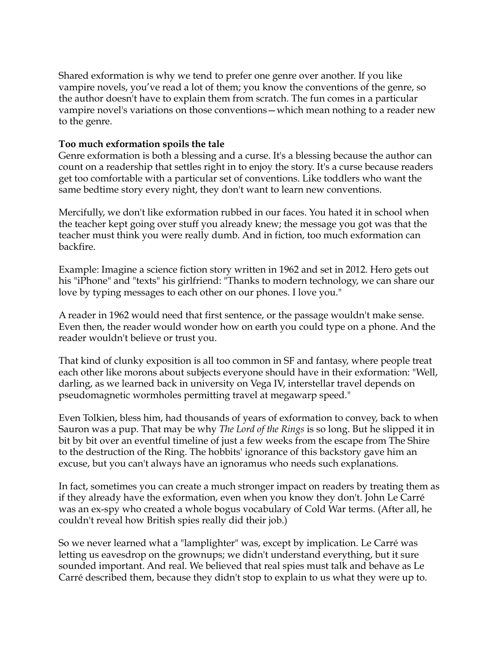Shared exformation is why we tend to prefer one genre over another. If you like vampire novels, you've read a lot of them; you know the conventions of the genre, so the author doesn't have to explain them from scratch. The fun comes in a particular vampire novel's variations on those conventions—which mean nothing to a reader new to the genre.

### **Too much exformation spoils the tale**

Genre exformation is both a blessing and a curse. It's a blessing because the author can count on a readership that settles right in to enjoy the story. It's a curse because readers get too comfortable with a particular set of conventions. Like toddlers who want the same bedtime story every night, they don't want to learn new conventions.

Mercifully, we don't like exformation rubbed in our faces. You hated it in school when the teacher kept going over stuff you already knew; the message you got was that the teacher must think you were really dumb. And in fiction, too much exformation can backfire.

Example: Imagine a science fiction story written in 1962 and set in 2012. Hero gets out his "iPhone" and "texts" his girlfriend: "Thanks to modern technology, we can share our love by typing messages to each other on our phones. I love you."

A reader in 1962 would need that first sentence, or the passage wouldn't make sense. Even then, the reader would wonder how on earth you could type on a phone. And the reader wouldn't believe or trust you.

That kind of clunky exposition is all too common in SF and fantasy, where people treat each other like morons about subjects everyone should have in their exformation: "Well, darling, as we learned back in university on Vega IV, interstellar travel depends on pseudomagnetic wormholes permitting travel at megawarp speed."

Even Tolkien, bless him, had thousands of years of exformation to convey, back to when Sauron was a pup. That may be why *The Lord of the Rings* is so long. But he slipped it in bit by bit over an eventful timeline of just a few weeks from the escape from The Shire to the destruction of the Ring. The hobbits' ignorance of this backstory gave him an excuse, but you can't always have an ignoramus who needs such explanations.

In fact, sometimes you can create a much stronger impact on readers by treating them as if they already have the exformation, even when you know they don't. John Le Carré was an ex-spy who created a whole bogus vocabulary of Cold War terms. (After all, he couldn't reveal how British spies really did their job.)

So we never learned what a "lamplighter" was, except by implication. Le Carré was letting us eavesdrop on the grownups; we didn't understand everything, but it sure sounded important. And real. We believed that real spies must talk and behave as Le Carré described them, because they didn't stop to explain to us what they were up to.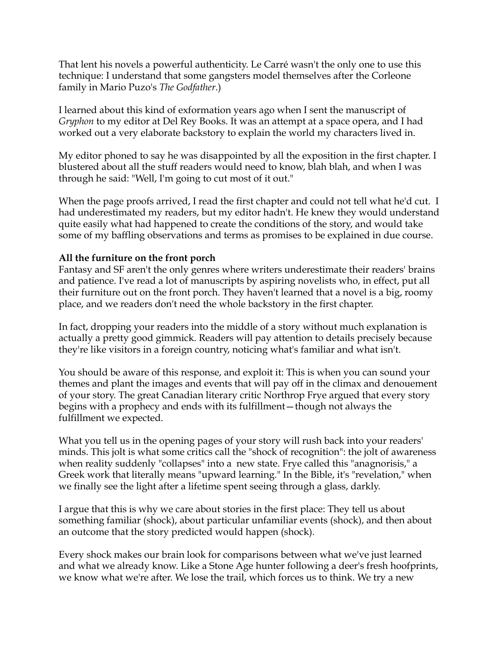That lent his novels a powerful authenticity. Le Carré wasn't the only one to use this technique: I understand that some gangsters model themselves after the Corleone family in Mario Puzo's *The Godfather*.)

I learned about this kind of exformation years ago when I sent the manuscript of *Gryphon* to my editor at Del Rey Books. It was an attempt at a space opera, and I had worked out a very elaborate backstory to explain the world my characters lived in.

My editor phoned to say he was disappointed by all the exposition in the first chapter. I blustered about all the stuff readers would need to know, blah blah, and when I was through he said: "Well, I'm going to cut most of it out."

When the page proofs arrived, I read the first chapter and could not tell what he'd cut. I had underestimated my readers, but my editor hadn't. He knew they would understand quite easily what had happened to create the conditions of the story, and would take some of my baffling observations and terms as promises to be explained in due course.

# **All the furniture on the front porch**

Fantasy and SF aren't the only genres where writers underestimate their readers' brains and patience. I've read a lot of manuscripts by aspiring novelists who, in effect, put all their furniture out on the front porch. They haven't learned that a novel is a big, roomy place, and we readers don't need the whole backstory in the first chapter.

In fact, dropping your readers into the middle of a story without much explanation is actually a pretty good gimmick. Readers will pay attention to details precisely because they're like visitors in a foreign country, noticing what's familiar and what isn't.

You should be aware of this response, and exploit it: This is when you can sound your themes and plant the images and events that will pay off in the climax and denouement of your story. The great Canadian literary critic Northrop Frye argued that every story begins with a prophecy and ends with its fulfillment—though not always the fulfillment we expected.

What you tell us in the opening pages of your story will rush back into your readers' minds. This jolt is what some critics call the "shock of recognition": the jolt of awareness when reality suddenly "collapses" into a new state. Frye called this "anagnorisis," a Greek work that literally means "upward learning." In the Bible, it's "revelation," when we finally see the light after a lifetime spent seeing through a glass, darkly.

I argue that this is why we care about stories in the first place: They tell us about something familiar (shock), about particular unfamiliar events (shock), and then about an outcome that the story predicted would happen (shock).

Every shock makes our brain look for comparisons between what we've just learned and what we already know. Like a Stone Age hunter following a deer's fresh hoofprints, we know what we're after. We lose the trail, which forces us to think. We try a new